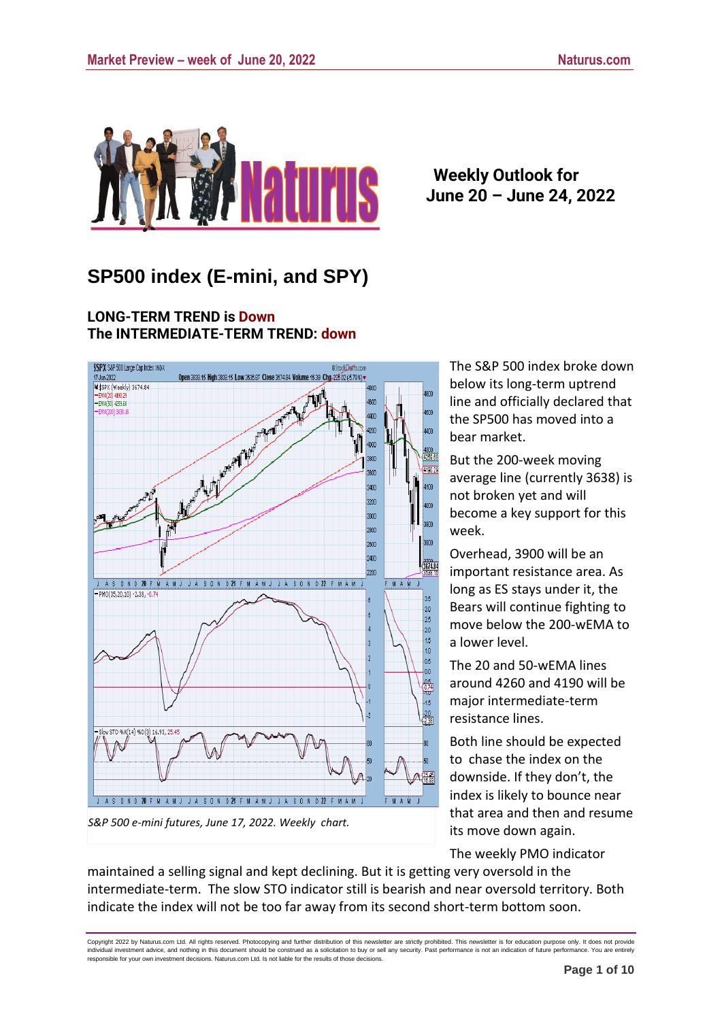

## **Weekly Outlook for June 20 – June 24, 2022**

# **SP500 index (E-mini, and SPY)**

**LONG-TERM TREND is Down The INTERMEDIATE-TERM TREND: down** 



The S&P 500 index broke down below its long-term uptrend line and officially declared that the SP500 has moved into a bear market.

But the 200-week moving average line (currently 3638) is not broken yet and will become a key support for this week.

Overhead, 3900 will be an important resistance area. As long as ES stays under it, the Bears will continue fighting to move below the 200-wEMA to a lower level.

The 20 and 50-wEMA lines around 4260 and 4190 will be major intermediate-term resistance lines.

Both line should be expected to chase the index on the downside. If they don't, the index is likely to bounce near that area and then and resume its move down again.

The weekly PMO indicator

maintained a selling signal and kept declining. But it is getting very oversold in the intermediate-term. The slow STO indicator still is bearish and near oversold territory. Both indicate the index will not be too far away from its second short-term bottom soon.

Copyright 2022 by Naturus.com Ltd. All rights reserved. Photocopying and further distribution of this newsletter are strictly prohibited. This newsletter is for education purpose only. It does not provide individual investment advice, and nothing in this document should be construed as a solicitation to buy or sell any security. Past performance is not an indication of future performance. You are entirely<br>responsible for yo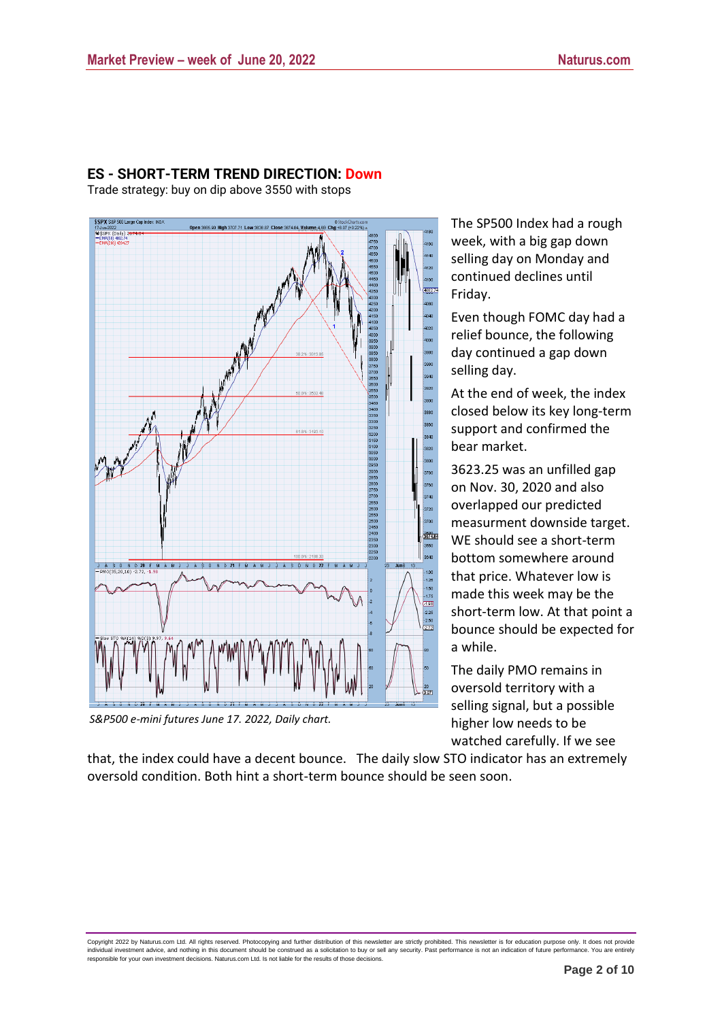

### **ES - SHORT-TERM TREND DIRECTION: Down**

Trade strategy: buy on dip above 3550 with stops

*S&P500 e-mini futures June 17. 2022, Daily chart.*

The SP500 Index had a rough week, with a big gap down selling day on Monday and continued declines until Friday.

Even though FOMC day had a relief bounce, the following day continued a gap down selling day.

At the end of week, the index closed below its key long-term support and confirmed the bear market.

3623.25 was an unfilled gap on Nov. 30, 2020 and also overlapped our predicted measurment downside target. WE should see a short-term bottom somewhere around that price. Whatever low is made this week may be the short-term low. At that point a bounce should be expected for a while.

The daily PMO remains in oversold territory with a selling signal, but a possible higher low needs to be watched carefully. If we see

that, the index could have a decent bounce. The daily slow STO indicator has an extremely oversold condition. Both hint a short-term bounce should be seen soon.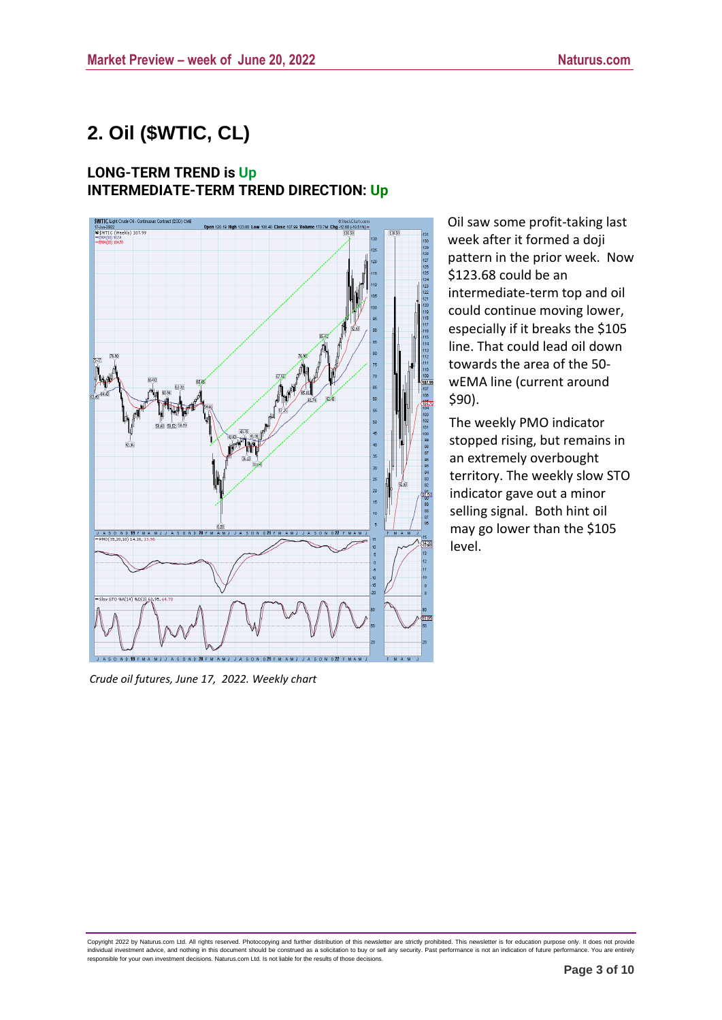Oil saw some profit-taking last week after it formed a doji pattern in the prior week. Now

intermediate-term top and oil could continue moving lower, especially if it breaks the \$105 line. That could lead oil down towards the area of the 50 wEMA line (current around

The weekly PMO indicator stopped rising, but remains in an extremely overbought

territory. The weekly slow STO indicator gave out a minor selling signal. Both hint oil may go lower than the \$105

\$123.68 could be an

\$90).

level.

# **2. Oil (\$WTIC, CL)**

### **LONG-TERM TREND is Up INTERMEDIATE-TERM TREND DIRECTION: Up**



*Crude oil futures, June 17, 2022. Weekly chart*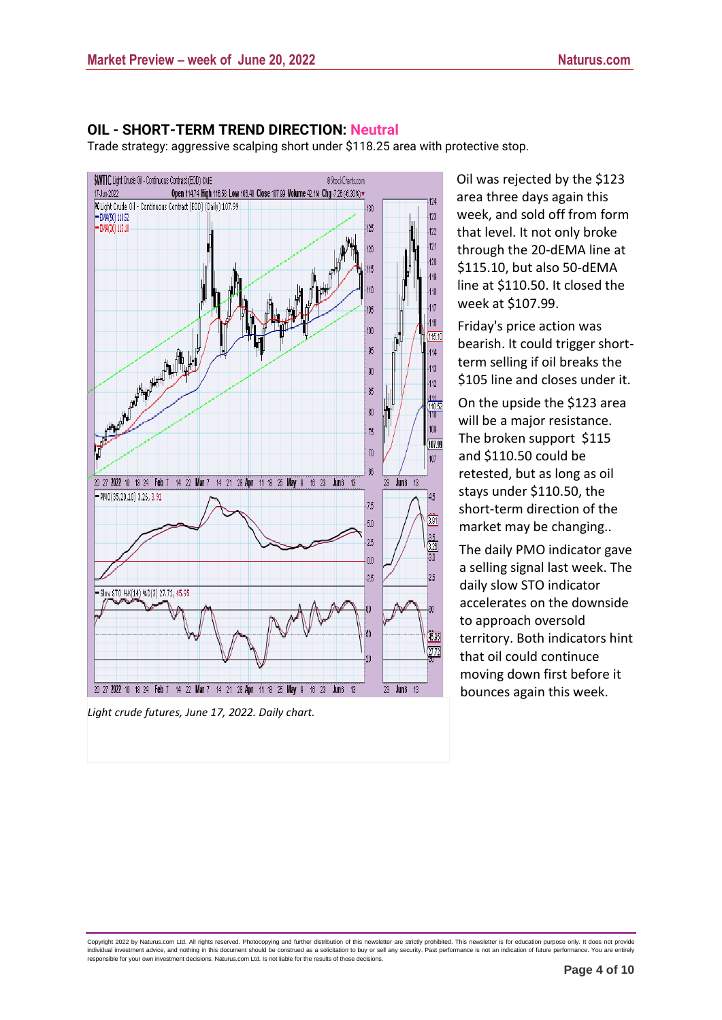#### **OIL - SHORT-TERM TREND DIRECTION: Neutral**

Trade strategy: aggressive scalping short under \$118.25 area with protective stop.



*Light crude futures, June 17, 2022. Daily chart.*

Oil was rejected by the \$123 area three days again this week, and sold off from form that level. It not only broke through the 20-dEMA line at \$115.10, but also 50-dEMA line at \$110.50. It closed the week at \$107.99.

Friday's price action was bearish. It could trigger shortterm selling if oil breaks the \$105 line and closes under it.

On the upside the \$123 area will be a major resistance. The broken support \$115 and \$110.50 could be retested, but as long as oil stays under \$110.50, the short-term direction of the market may be changing..

The daily PMO indicator gave a selling signal last week. The daily slow STO indicator accelerates on the downside to approach oversold territory. Both indicators hint that oil could continuce moving down first before it bounces again this week.

Copyright 2022 by Naturus.com Ltd. All rights reserved. Photocopying and further distribution of this newsletter are strictly prohibited. This newsletter is for education purpose only. It does not provide individual investment advice, and nothing in this document should be construed as a solicitation to buy or sell any security. Past performance is not an indication of future performance. You are entirely<br>responsible for yo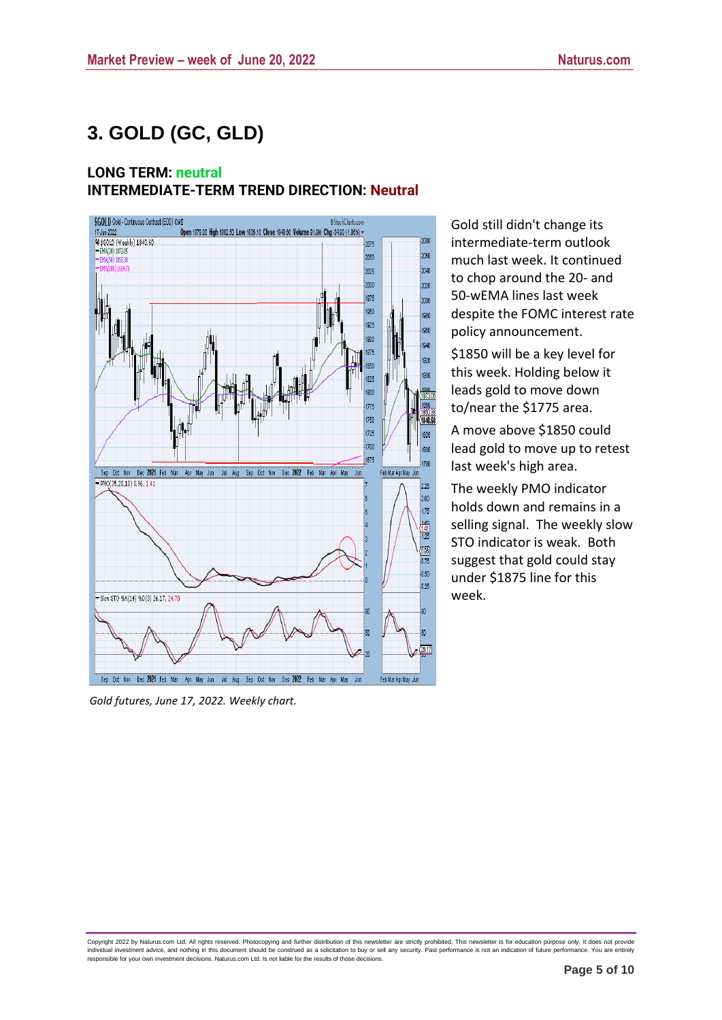# **3. GOLD (GC, GLD)**

## **LONG TERM: neutral INTERMEDIATE-TERM TREND DIRECTION: Neutral**



*Gold futures, June 17, 2022. Weekly chart.*

Gold still didn't change its intermediate-term outlook much last week. It continued to chop around the 20- and 50-wEMA lines last week despite the FOMC interest rate policy announcement.

\$1850 will be a key level for this week. Holding below it leads gold to move down to/near the \$1775 area.

A move above \$1850 could lead gold to move up to retest last week's high area.

The weekly PMO indicator holds down and remains in a selling signal. The weekly slow STO indicator is weak. Both suggest that gold could stay under \$1875 line for this week.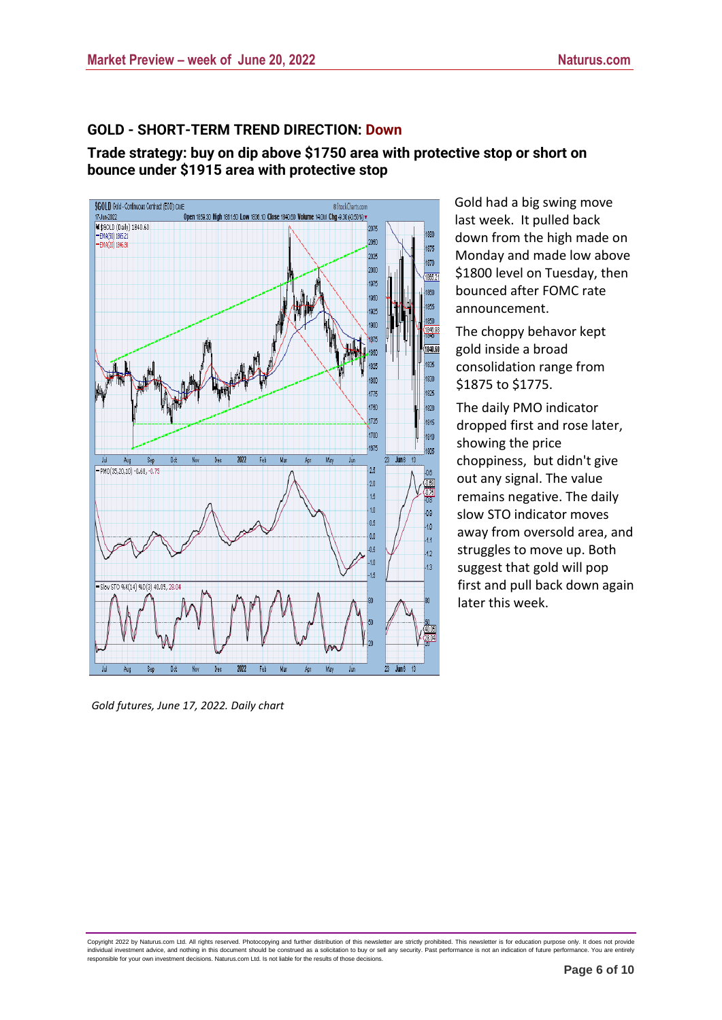### **GOLD - SHORT-TERM TREND DIRECTION: Down**

**Trade strategy: buy on dip above \$1750 area with protective stop or short on bounce under \$1915 area with protective stop**



Gold had a big swing move last week. It pulled back down from the high made on Monday and made low above \$1800 level on Tuesday, then bounced after FOMC rate announcement.

The choppy behavor kept gold inside a broad consolidation range from \$1875 to \$1775.

The daily PMO indicator dropped first and rose later, showing the price choppiness, but didn't give out any signal. The value remains negative. The daily slow STO indicator moves away from oversold area, and struggles to move up. Both suggest that gold will pop first and pull back down again later this week.

*Gold futures, June 17, 2022. Daily chart*

Copyright 2022 by Naturus.com Ltd. All rights reserved. Photocopying and further distribution of this newsletter are strictly prohibited. This newsletter is for education purpose only. It does not provide individual investment advice, and nothing in this document should be construed as a solicitation to buy or sell any security. Past performance is not an indication of future performance. You are entirely<br>responsible for yo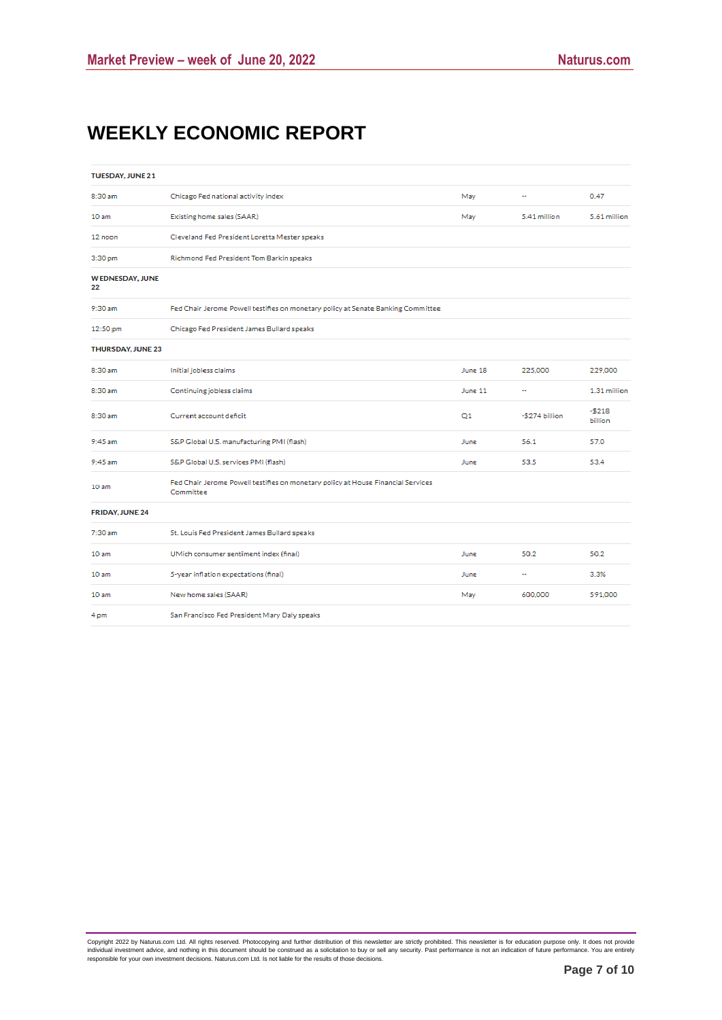# **WEEKLY ECONOMIC REPORT**

| <b>TUESDAY, JUNE 21</b>      |                                                                                               |         |                |                    |
|------------------------------|-----------------------------------------------------------------------------------------------|---------|----------------|--------------------|
| 8:30 am                      | Chicago Fed national activity index                                                           | May     |                | 0.47               |
| 10 <sub>am</sub>             | Existing home sales (SAAR)                                                                    | May     | 5.41 million   | 5.61 million       |
| 12 noon                      | Cleveland Fed President Loretta Mester speaks                                                 |         |                |                    |
| 3:30 pm                      | Richmond Fed President Tom Barkin speaks                                                      |         |                |                    |
| <b>WEDNESDAY, JUNE</b><br>22 |                                                                                               |         |                |                    |
| 9:30 am                      | Fed Chair Jerome Powell testifies on monetary policy at Senate Banking Committee              |         |                |                    |
| 12:50 pm                     | Chicago Fed President James Bullard speaks                                                    |         |                |                    |
| <b>THURSDAY, JUNE 23</b>     |                                                                                               |         |                |                    |
| 8:30 am                      | Initial jobless claims                                                                        | June 18 | 225,000        | 229,000            |
| 8:30 am                      | Continuing jobless claims                                                                     | June 11 |                | 1.31 million       |
| 8:30 am                      | Current account deficit                                                                       | Q1      | -\$274 billion | $-5218$<br>billion |
| 9:45 am                      | S&P Global U.S. manufacturing PMI (flash)                                                     | June    | 56.1           | 57.0               |
| 9:45 am                      | S&P Global U.S. services PMI (flash)                                                          | June    | 53.5           | 53.4               |
| 10 <sub>am</sub>             | Fed Chair Jerome Powell testifies on monetary policy at House Financial Services<br>Committee |         |                |                    |
| <b>FRIDAY, JUNE 24</b>       |                                                                                               |         |                |                    |
| 7:30 am                      | St. Louis Fed President James Bullard speaks                                                  |         |                |                    |
| 10 <sub>am</sub>             | UMich consumer sentiment index (final)                                                        | June    | 50.2           | 50.2               |
| 10 <sub>am</sub>             | 5-year inflation expectations (final)                                                         | June    | Ξ.             | 3.3%               |
| 10 <sub>am</sub>             | New home sales (SAAR)                                                                         | May     | 600,000        | 591,000            |
| 4 pm                         | San Francisco Fed President Mary Daly speaks                                                  |         |                |                    |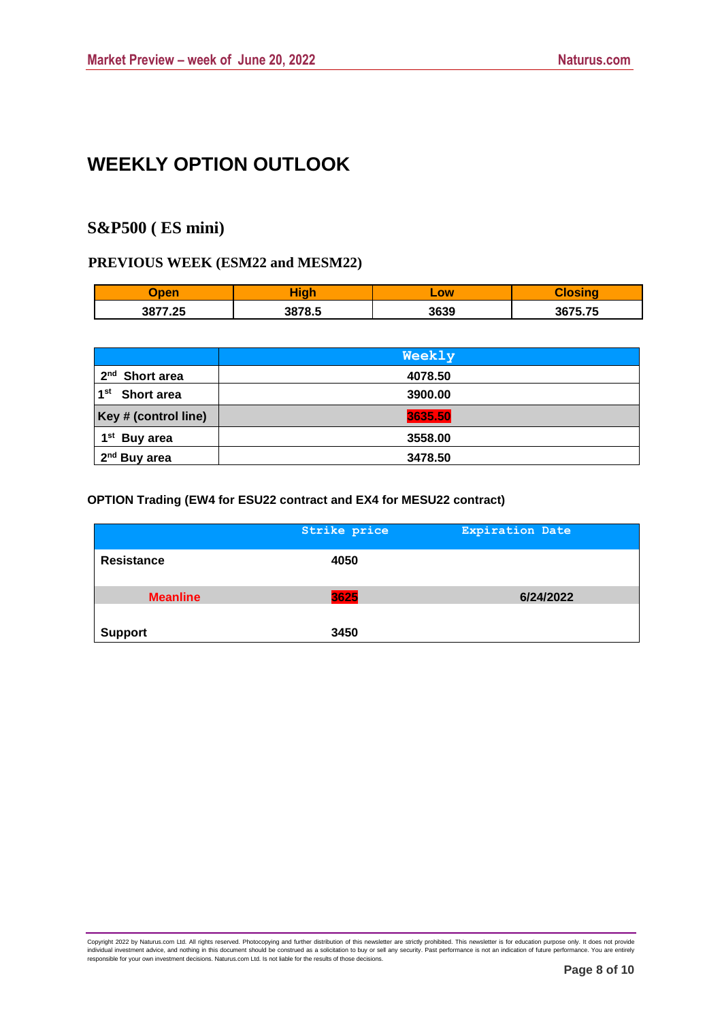# **WEEKLY OPTION OUTLOOK**

# **S&P500 ( ES mini)**

### **PREVIOUS WEEK (ESM22 and MESM22)**

| <b>Tinon</b> | i wa ka | LOW  |         |
|--------------|---------|------|---------|
| 3877.25      | 3878.5  | 3639 | 3675.75 |

|                            | Weekly  |  |
|----------------------------|---------|--|
| 2 <sup>nd</sup> Short area | 4078.50 |  |
| 1 <sup>st</sup> Short area | 3900.00 |  |
| Key # (control line)       | 3635.50 |  |
| 1 <sup>st</sup> Buy area   | 3558.00 |  |
| 2 <sup>nd</sup> Buy area   | 3478.50 |  |

#### **OPTION Trading (EW4 for ESU22 contract and EX4 for MESU22 contract)**

|                   | Strike price | <b>Expiration Date</b> |
|-------------------|--------------|------------------------|
| <b>Resistance</b> | 4050         |                        |
| <b>Meanline</b>   | 3625         | 6/24/2022              |
| <b>Support</b>    | 3450         |                        |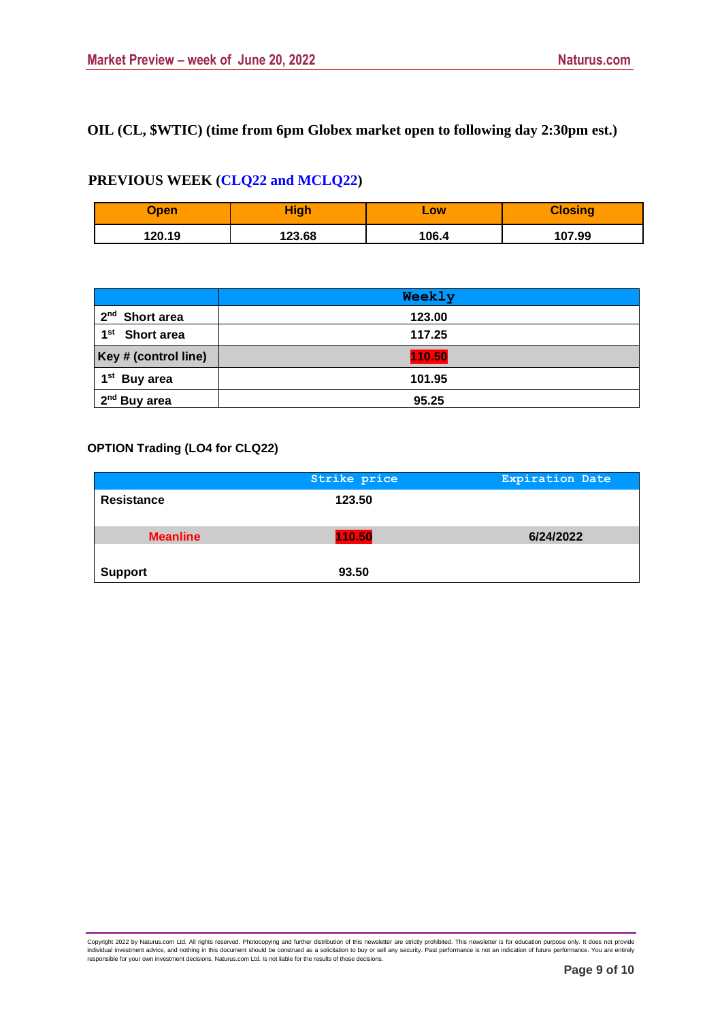## **OIL (CL, \$WTIC) (time from 6pm Globex market open to following day 2:30pm est.)**

## **PREVIOUS WEEK (CLQ22 and MCLQ22)**

| Open   | High   | LOW   | <b>Closing</b> |
|--------|--------|-------|----------------|
| 120.19 | 123.68 | 106.4 | 107.99         |

|                                      | Weekly |  |
|--------------------------------------|--------|--|
| 2 <sup>nd</sup> Short area           | 123.00 |  |
| 1 <sup>st</sup><br><b>Short area</b> | 117.25 |  |
| Key # (control line)                 | 110.50 |  |
| 1 <sup>st</sup> Buy area             | 101.95 |  |
| 2 <sup>nd</sup> Buy area             | 95.25  |  |

### **OPTION Trading (LO4 for CLQ22)**

|                   | Strike price | <b>Expiration Date</b> |
|-------------------|--------------|------------------------|
| <b>Resistance</b> | 123.50       |                        |
| <b>Meanline</b>   | 110.50       | 6/24/2022              |
| <b>Support</b>    | 93.50        |                        |